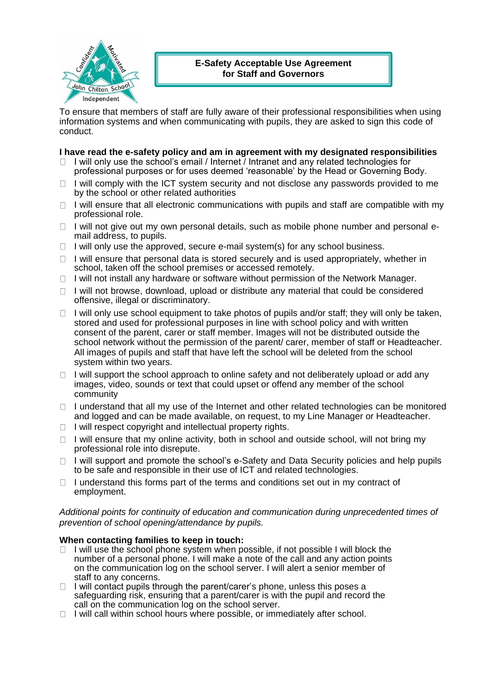

# **E-Safety Acceptable Use Agreement for Staff and Governors**

To ensure that members of staff are fully aware of their professional responsibilities when using information systems and when communicating with pupils, they are asked to sign this code of conduct.

# **I have read the e-safety policy and am in agreement with my designated responsibilities**

- $\Box$  I will only use the school's email / Internet / Intranet and any related technologies for professional purposes or for uses deemed 'reasonable' by the Head or Governing Body.
- I will comply with the ICT system security and not disclose any passwords provided to me  $\Box$ by the school or other related authorities
- $\Box$  I will ensure that all electronic communications with pupils and staff are compatible with my professional role.
- $\Box$  I will not give out my own personal details, such as mobile phone number and personal email address, to pupils.
- $\Box$  I will only use the approved, secure e-mail system(s) for any school business.
- $\Box$  I will ensure that personal data is stored securely and is used appropriately, whether in school, taken off the school premises or accessed remotely.
- $\Box$  I will not install any hardware or software without permission of the Network Manager.
- $\Box$  I will not browse, download, upload or distribute any material that could be considered offensive, illegal or discriminatory.
- $\Box$  I will only use school equipment to take photos of pupils and/or staff; they will only be taken, stored and used for professional purposes in line with school policy and with written consent of the parent, carer or staff member. Images will not be distributed outside the school network without the permission of the parent/ carer, member of staff or Headteacher. All images of pupils and staff that have left the school will be deleted from the school system within two years.
- $\Box$  I will support the school approach to online safety and not deliberately upload or add any images, video, sounds or text that could upset or offend any member of the school community
- $\Box$  I understand that all my use of the Internet and other related technologies can be monitored and logged and can be made available, on request, to my Line Manager or Headteacher.
- $\Box$  I will respect copyright and intellectual property rights.
- $\Box$  I will ensure that my online activity, both in school and outside school, will not bring my professional role into disrepute.
- I will support and promote the school's e-Safety and Data Security policies and help pupils  $\Box$ to be safe and responsible in their use of ICT and related technologies.
- I understand this forms part of the terms and conditions set out in my contract of  $\Box$ employment.

### *Additional points for continuity of education and communication during unprecedented times of prevention of school opening/attendance by pupils.*

#### **When contacting families to keep in touch:**

- $\Box$  I will use the school phone system when possible, if not possible I will block the number of a personal phone. I will make a note of the call and any action points on the communication log on the school server. I will alert a senior member of staff to any concerns.
- $\Box$  I will contact pupils through the parent/carer's phone, unless this poses a safeguarding risk, ensuring that a parent/carer is with the pupil and record the call on the communication log on the school server.
- $\Box$  I will call within school hours where possible, or immediately after school.